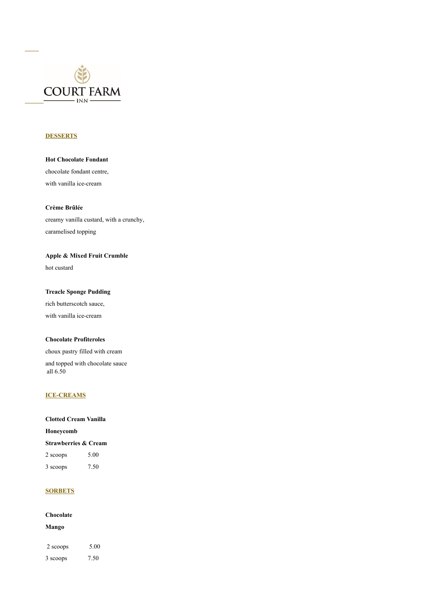

### **DESSERTS**

**Hot Chocolate Fondant** chocolate fondant centre, with vanilla ice-cream

**Crème Brûlée** creamy vanilla custard, with a crunchy, caramelised topping

**Apple & Mixed Fruit Crumble**

hot custard

#### **Treacle Sponge Pudding**

rich butterscotch sauce, with vanilla ice-cream

### **Chocolate Profiteroles**

choux pastry filled with cream and topped with chocolate sauce all 6.50

### **ICE-CREAMS**

**Clotted Cream Vanilla**

**Honeycomb**

**Strawberries & Cream** 2 scoops 5.00

3 scoops 7.50

# **SORBETS**

**Chocolate**

## **Mango**

| 2 scoops | 5.00 |
|----------|------|
| 3 scoops | 7.50 |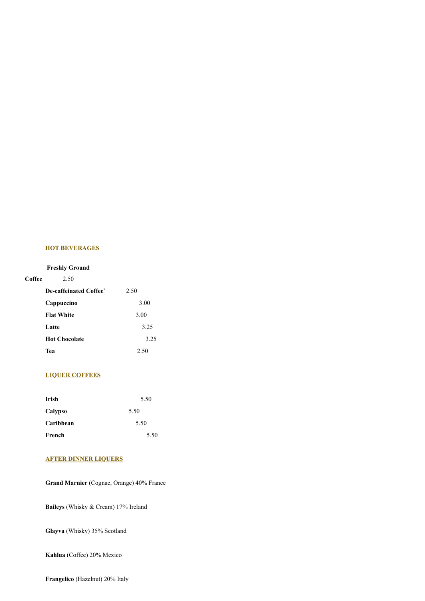### **HOT BEVERAGES**

# **Freshly Ground**

| De-caffeinated Coffee' | 2.50 |
|------------------------|------|
| Cappuccino             | 3.00 |
| <b>Flat White</b>      | 3.00 |
| Latte                  | 3.25 |
| <b>Hot Chocolate</b>   | 3.25 |
| Тея                    | 2.50 |

## **LIQUER COFFEES**

| Irish     | 5.50 |
|-----------|------|
| Calypso   | 5.50 |
| Caribbean | 5.50 |
| French    | 5.50 |

### **AFTER DINNER LIQUERS**

**Grand Marnier** (Cognac, Orange) 40% France

**Baileys** (Whisky & Cream) 17% Ireland

**Glayva** (Whisky) 35% Scotland

**Kahlua** (Coffee) 20% Mexico

**Frangelico** (Hazelnut) 20% Italy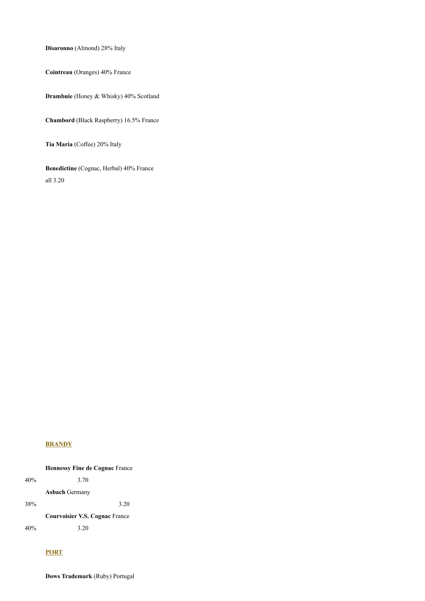**Disaronno** (Almond) 28% Italy

**Cointreau** (Oranges) 40% France

**Drambuie** (Honey & Whisky) 40% Scotland

**Chambord** (Black Raspberry) 16.5% France

**Tia Maria** (Coffee) 20% Italy

**Benedictine** (Cognac, Herbal) 40% France all 3.20

## **BRANDY**

| <b>Hennessy Fine de Cognac France</b> |                                       |
|---------------------------------------|---------------------------------------|
| 40%                                   | 3.70                                  |
|                                       | <b>Asbach</b> Germany                 |
| 38%                                   | 3.20                                  |
|                                       | <b>Courvoisier V.S. Cognac France</b> |
| 40%                                   | 3.20                                  |

## **PORT**

**Dows Trademark** (Ruby) Portugal